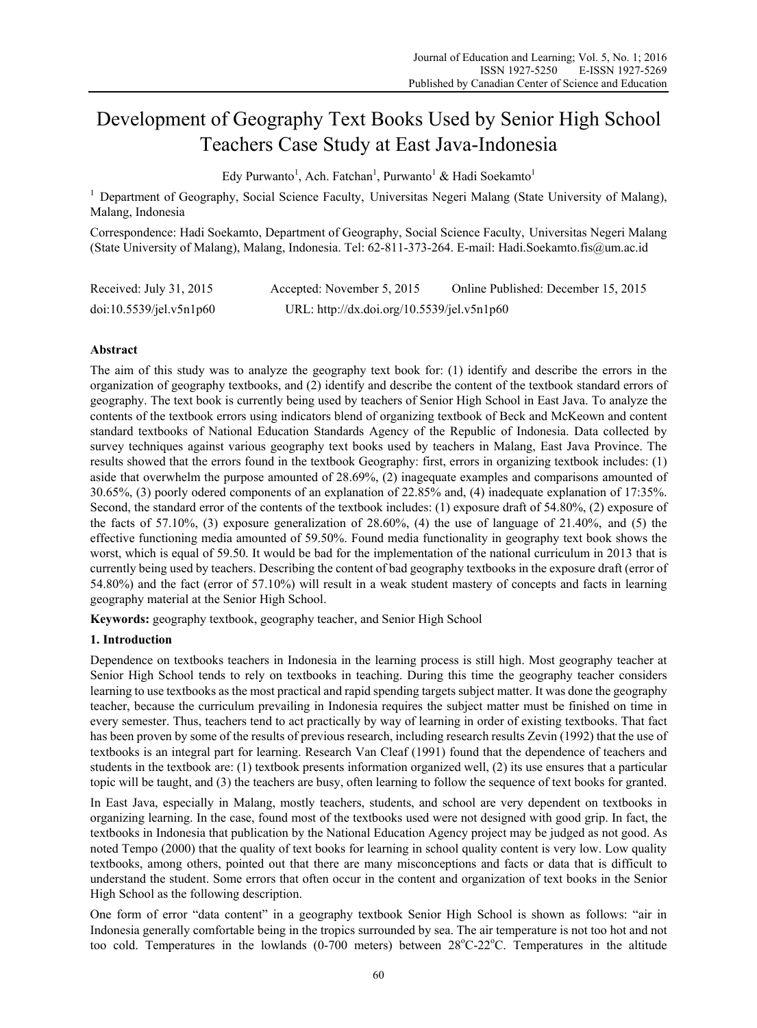# Development of Geography Text Books Used by Senior High School Teachers Case Study at East Java-Indonesia

Edy Purwanto<sup>1</sup>, Ach. Fatchan<sup>1</sup>, Purwanto<sup>1</sup> & Hadi Soekamto<sup>1</sup>

<sup>1</sup> Department of Geography, Social Science Faculty, Universitas Negeri Malang (State University of Malang), Malang, Indonesia

Correspondence: Hadi Soekamto, Department of Geography, Social Science Faculty, Universitas Negeri Malang (State University of Malang), Malang, Indonesia. Tel: 62-811-373-264. E-mail: Hadi.Soekamto.fis@um.ac.id

| Received: July 31, 2015 | Accepted: November 5, 2015                 | Online Published: December 15, 2015 |
|-------------------------|--------------------------------------------|-------------------------------------|
| doi:10.5539/jel.v5n1p60 | URL: http://dx.doi.org/10.5539/jel.v5n1p60 |                                     |

# **Abstract**

The aim of this study was to analyze the geography text book for: (1) identify and describe the errors in the organization of geography textbooks, and (2) identify and describe the content of the textbook standard errors of geography. The text book is currently being used by teachers of Senior High School in East Java. To analyze the contents of the textbook errors using indicators blend of organizing textbook of Beck and McKeown and content standard textbooks of National Education Standards Agency of the Republic of Indonesia. Data collected by survey techniques against various geography text books used by teachers in Malang, East Java Province. The results showed that the errors found in the textbook Geography: first, errors in organizing textbook includes: (1) aside that overwhelm the purpose amounted of 28.69%, (2) inagequate examples and comparisons amounted of 30.65%, (3) poorly odered components of an explanation of 22.85% and, (4) inadequate explanation of 17:35%. Second, the standard error of the contents of the textbook includes: (1) exposure draft of 54.80%, (2) exposure of the facts of 57.10%, (3) exposure generalization of 28.60%, (4) the use of language of 21.40%, and (5) the effective functioning media amounted of 59.50%. Found media functionality in geography text book shows the worst, which is equal of 59.50. It would be bad for the implementation of the national curriculum in 2013 that is currently being used by teachers. Describing the content of bad geography textbooks in the exposure draft (error of 54.80%) and the fact (error of 57.10%) will result in a weak student mastery of concepts and facts in learning geography material at the Senior High School.

**Keywords:** geography textbook, geography teacher, and Senior High School

# **1. Introduction**

Dependence on textbooks teachers in Indonesia in the learning process is still high. Most geography teacher at Senior High School tends to rely on textbooks in teaching. During this time the geography teacher considers learning to use textbooks as the most practical and rapid spending targets subject matter. It was done the geography teacher, because the curriculum prevailing in Indonesia requires the subject matter must be finished on time in every semester. Thus, teachers tend to act practically by way of learning in order of existing textbooks. That fact has been proven by some of the results of previous research, including research results Zevin (1992) that the use of textbooks is an integral part for learning. Research Van Cleaf (1991) found that the dependence of teachers and students in the textbook are: (1) textbook presents information organized well, (2) its use ensures that a particular topic will be taught, and (3) the teachers are busy, often learning to follow the sequence of text books for granted.

In East Java, especially in Malang, mostly teachers, students, and school are very dependent on textbooks in organizing learning. In the case, found most of the textbooks used were not designed with good grip. In fact, the textbooks in Indonesia that publication by the National Education Agency project may be judged as not good. As noted Tempo (2000) that the quality of text books for learning in school quality content is very low. Low quality textbooks, among others, pointed out that there are many misconceptions and facts or data that is difficult to understand the student. Some errors that often occur in the content and organization of text books in the Senior High School as the following description.

One form of error "data content" in a geography textbook Senior High School is shown as follows: "air in Indonesia generally comfortable being in the tropics surrounded by sea. The air temperature is not too hot and not too cold. Temperatures in the lowlands (0-700 meters) between 28°C-22°C. Temperatures in the altitude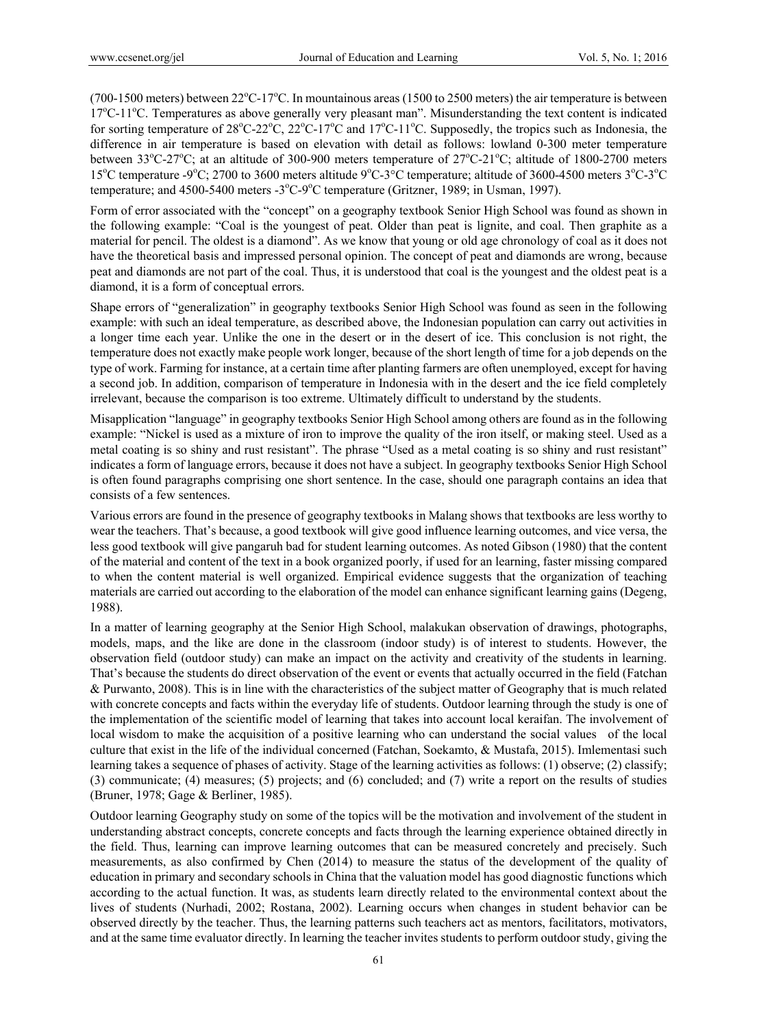(700-1500 meters) between  $22^{\circ}$ C-17<sup>o</sup>C. In mountainous areas (1500 to 2500 meters) the air temperature is between 17°C-11°C. Temperatures as above generally very pleasant man". Misunderstanding the text content is indicated for sorting temperature of 28°C-22°C, 22°C-17°C and 17°C-11°C. Supposedly, the tropics such as Indonesia, the difference in air temperature is based on elevation with detail as follows: lowland 0-300 meter temperature between  $33^{\circ}$ C-27<sup>o</sup>C; at an altitude of 300-900 meters temperature of  $27^{\circ}$ C-21<sup>o</sup>C; altitude of 1800-2700 meters 15°C temperature -9°C; 2700 to 3600 meters altitude 9°C-3°C temperature; altitude of 3600-4500 meters 3°C-3°C temperature; and  $4500 - 5400$  meters  $-3^{\circ}$ C $-9^{\circ}$ C temperature (Gritzner, 1989; in Usman, 1997).

Form of error associated with the "concept" on a geography textbook Senior High School was found as shown in the following example: "Coal is the youngest of peat. Older than peat is lignite, and coal. Then graphite as a material for pencil. The oldest is a diamond". As we know that young or old age chronology of coal as it does not have the theoretical basis and impressed personal opinion. The concept of peat and diamonds are wrong, because peat and diamonds are not part of the coal. Thus, it is understood that coal is the youngest and the oldest peat is a diamond, it is a form of conceptual errors.

Shape errors of "generalization" in geography textbooks Senior High School was found as seen in the following example: with such an ideal temperature, as described above, the Indonesian population can carry out activities in a longer time each year. Unlike the one in the desert or in the desert of ice. This conclusion is not right, the temperature does not exactly make people work longer, because of the short length of time for a job depends on the type of work. Farming for instance, at a certain time after planting farmers are often unemployed, except for having a second job. In addition, comparison of temperature in Indonesia with in the desert and the ice field completely irrelevant, because the comparison is too extreme. Ultimately difficult to understand by the students.

Misapplication "language" in geography textbooks Senior High School among others are found as in the following example: "Nickel is used as a mixture of iron to improve the quality of the iron itself, or making steel. Used as a metal coating is so shiny and rust resistant". The phrase "Used as a metal coating is so shiny and rust resistant" indicates a form of language errors, because it does not have a subject. In geography textbooks Senior High School is often found paragraphs comprising one short sentence. In the case, should one paragraph contains an idea that consists of a few sentences.

Various errors are found in the presence of geography textbooks in Malang shows that textbooks are less worthy to wear the teachers. That's because, a good textbook will give good influence learning outcomes, and vice versa, the less good textbook will give pangaruh bad for student learning outcomes. As noted Gibson (1980) that the content of the material and content of the text in a book organized poorly, if used for an learning, faster missing compared to when the content material is well organized. Empirical evidence suggests that the organization of teaching materials are carried out according to the elaboration of the model can enhance significant learning gains (Degeng, 1988).

In a matter of learning geography at the Senior High School, malakukan observation of drawings, photographs, models, maps, and the like are done in the classroom (indoor study) is of interest to students. However, the observation field (outdoor study) can make an impact on the activity and creativity of the students in learning. That's because the students do direct observation of the event or events that actually occurred in the field (Fatchan & Purwanto, 2008). This is in line with the characteristics of the subject matter of Geography that is much related with concrete concepts and facts within the everyday life of students. Outdoor learning through the study is one of the implementation of the scientific model of learning that takes into account local keraifan. The involvement of local wisdom to make the acquisition of a positive learning who can understand the social values of the local culture that exist in the life of the individual concerned (Fatchan, Soekamto, & Mustafa, 2015). Imlementasi such learning takes a sequence of phases of activity. Stage of the learning activities as follows: (1) observe; (2) classify; (3) communicate; (4) measures; (5) projects; and (6) concluded; and (7) write a report on the results of studies (Bruner, 1978; Gage & Berliner, 1985).

Outdoor learning Geography study on some of the topics will be the motivation and involvement of the student in understanding abstract concepts, concrete concepts and facts through the learning experience obtained directly in the field. Thus, learning can improve learning outcomes that can be measured concretely and precisely. Such measurements, as also confirmed by Chen (2014) to measure the status of the development of the quality of education in primary and secondary schools in China that the valuation model has good diagnostic functions which according to the actual function. It was, as students learn directly related to the environmental context about the lives of students (Nurhadi, 2002; Rostana, 2002). Learning occurs when changes in student behavior can be observed directly by the teacher. Thus, the learning patterns such teachers act as mentors, facilitators, motivators, and at the same time evaluator directly. In learning the teacher invites students to perform outdoor study, giving the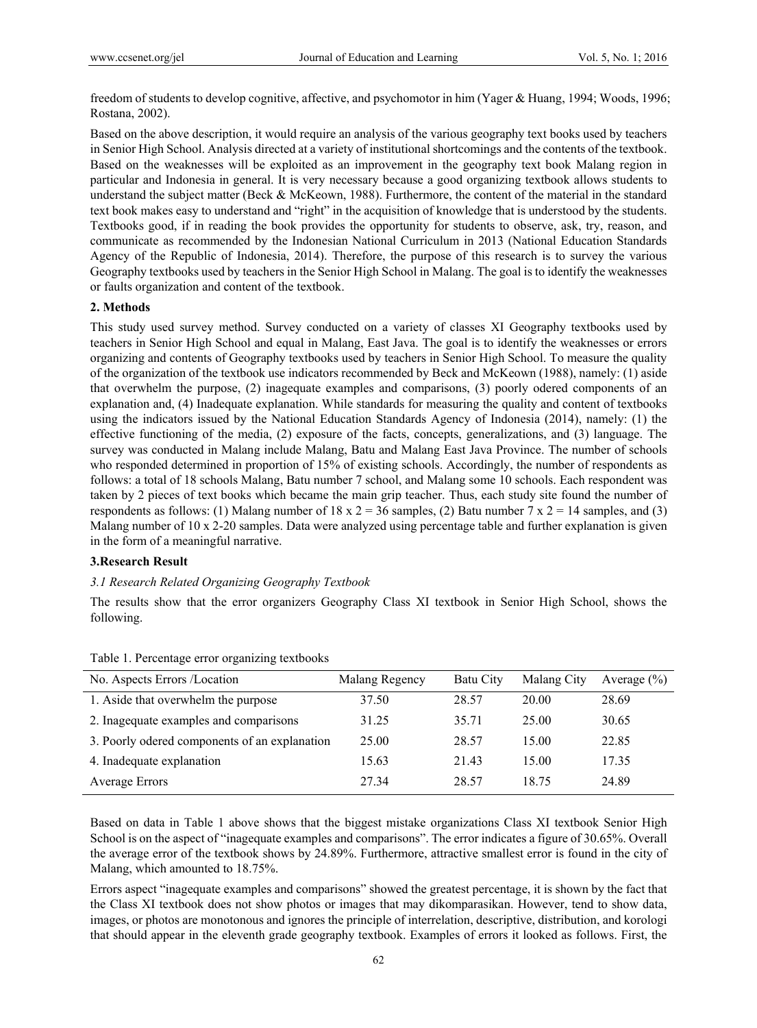freedom of students to develop cognitive, affective, and psychomotor in him (Yager & Huang, 1994; Woods, 1996; Rostana, 2002).

Based on the above description, it would require an analysis of the various geography text books used by teachers in Senior High School. Analysis directed at a variety of institutional shortcomings and the contents of the textbook. Based on the weaknesses will be exploited as an improvement in the geography text book Malang region in particular and Indonesia in general. It is very necessary because a good organizing textbook allows students to understand the subject matter (Beck & McKeown, 1988). Furthermore, the content of the material in the standard text book makes easy to understand and "right" in the acquisition of knowledge that is understood by the students. Textbooks good, if in reading the book provides the opportunity for students to observe, ask, try, reason, and communicate as recommended by the Indonesian National Curriculum in 2013 (National Education Standards Agency of the Republic of Indonesia, 2014). Therefore, the purpose of this research is to survey the various Geography textbooks used by teachers in the Senior High School in Malang. The goal is to identify the weaknesses or faults organization and content of the textbook.

#### **2. Methods**

This study used survey method. Survey conducted on a variety of classes XI Geography textbooks used by teachers in Senior High School and equal in Malang, East Java. The goal is to identify the weaknesses or errors organizing and contents of Geography textbooks used by teachers in Senior High School. To measure the quality of the organization of the textbook use indicators recommended by Beck and McKeown (1988), namely: (1) aside that overwhelm the purpose, (2) inagequate examples and comparisons, (3) poorly odered components of an explanation and, (4) Inadequate explanation. While standards for measuring the quality and content of textbooks using the indicators issued by the National Education Standards Agency of Indonesia (2014), namely: (1) the effective functioning of the media, (2) exposure of the facts, concepts, generalizations, and (3) language. The survey was conducted in Malang include Malang, Batu and Malang East Java Province. The number of schools who responded determined in proportion of 15% of existing schools. Accordingly, the number of respondents as follows: a total of 18 schools Malang, Batu number 7 school, and Malang some 10 schools. Each respondent was taken by 2 pieces of text books which became the main grip teacher. Thus, each study site found the number of respondents as follows: (1) Malang number of 18 x  $2 = 36$  samples, (2) Batu number 7 x  $2 = 14$  samples, and (3) Malang number of 10 x 2-20 samples. Data were analyzed using percentage table and further explanation is given in the form of a meaningful narrative.

## **3.Research Result**

#### *3.1 Research Related Organizing Geography Textbook*

The results show that the error organizers Geography Class XI textbook in Senior High School, shows the following.

| No. Aspects Errors /Location                  | Malang Regency | Batu City | Malang City | Average $(\% )$ |
|-----------------------------------------------|----------------|-----------|-------------|-----------------|
| 1. Aside that overwhelm the purpose           | 37.50          | 28.57     | 20.00       | 28.69           |
| 2. Inagequate examples and comparisons        | 31.25          | 35.71     | 25.00       | 30.65           |
| 3. Poorly odered components of an explanation | 25.00          | 28.57     | 15.00       | 22.85           |
| 4. Inadequate explanation                     | 15.63          | 21.43     | 15.00       | 17.35           |
| Average Errors                                | 27 34          | 28.57     | 18.75       | 24.89           |

Table 1. Percentage error organizing textbooks

Based on data in Table 1 above shows that the biggest mistake organizations Class XI textbook Senior High School is on the aspect of "inagequate examples and comparisons". The error indicates a figure of 30.65%. Overall the average error of the textbook shows by 24.89%. Furthermore, attractive smallest error is found in the city of Malang, which amounted to 18.75%.

Errors aspect "inagequate examples and comparisons" showed the greatest percentage, it is shown by the fact that the Class XI textbook does not show photos or images that may dikomparasikan. However, tend to show data, images, or photos are monotonous and ignores the principle of interrelation, descriptive, distribution, and korologi that should appear in the eleventh grade geography textbook. Examples of errors it looked as follows. First, the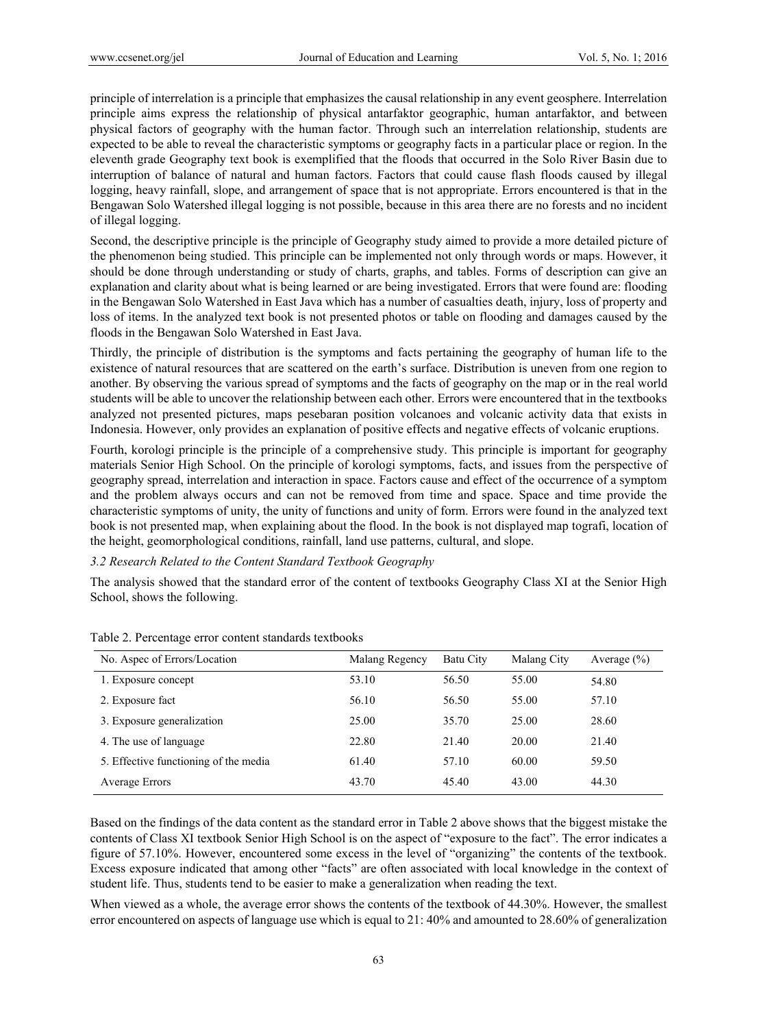principle of interrelation is a principle that emphasizes the causal relationship in any event geosphere. Interrelation principle aims express the relationship of physical antarfaktor geographic, human antarfaktor, and between physical factors of geography with the human factor. Through such an interrelation relationship, students are expected to be able to reveal the characteristic symptoms or geography facts in a particular place or region. In the eleventh grade Geography text book is exemplified that the floods that occurred in the Solo River Basin due to interruption of balance of natural and human factors. Factors that could cause flash floods caused by illegal logging, heavy rainfall, slope, and arrangement of space that is not appropriate. Errors encountered is that in the Bengawan Solo Watershed illegal logging is not possible, because in this area there are no forests and no incident of illegal logging.

Second, the descriptive principle is the principle of Geography study aimed to provide a more detailed picture of the phenomenon being studied. This principle can be implemented not only through words or maps. However, it should be done through understanding or study of charts, graphs, and tables. Forms of description can give an explanation and clarity about what is being learned or are being investigated. Errors that were found are: flooding in the Bengawan Solo Watershed in East Java which has a number of casualties death, injury, loss of property and loss of items. In the analyzed text book is not presented photos or table on flooding and damages caused by the floods in the Bengawan Solo Watershed in East Java.

Thirdly, the principle of distribution is the symptoms and facts pertaining the geography of human life to the existence of natural resources that are scattered on the earth's surface. Distribution is uneven from one region to another. By observing the various spread of symptoms and the facts of geography on the map or in the real world students will be able to uncover the relationship between each other. Errors were encountered that in the textbooks analyzed not presented pictures, maps pesebaran position volcanoes and volcanic activity data that exists in Indonesia. However, only provides an explanation of positive effects and negative effects of volcanic eruptions.

Fourth, korologi principle is the principle of a comprehensive study. This principle is important for geography materials Senior High School. On the principle of korologi symptoms, facts, and issues from the perspective of geography spread, interrelation and interaction in space. Factors cause and effect of the occurrence of a symptom and the problem always occurs and can not be removed from time and space. Space and time provide the characteristic symptoms of unity, the unity of functions and unity of form. Errors were found in the analyzed text book is not presented map, when explaining about the flood. In the book is not displayed map tografi, location of the height, geomorphological conditions, rainfall, land use patterns, cultural, and slope.

## *3.2 Research Related to the Content Standard Textbook Geography*

The analysis showed that the standard error of the content of textbooks Geography Class XI at the Senior High School, shows the following.

| No. Aspec of Errors/Location          | Malang Regency | Batu City | Malang City | Average $(\% )$ |
|---------------------------------------|----------------|-----------|-------------|-----------------|
| 1. Exposure concept                   | 53.10          | 56.50     | 55.00       | 54.80           |
| 2. Exposure fact                      | 56.10          | 56.50     | 55.00       | 57.10           |
| 3. Exposure generalization            | 25.00          | 35.70     | 25.00       | 28.60           |
| 4. The use of language                | 22.80          | 21.40     | 20.00       | 21.40           |
| 5. Effective functioning of the media | 61.40          | 57.10     | 60.00       | 59.50           |
| Average Errors                        | 43.70          | 45.40     | 43.00       | 44.30           |

Table 2. Percentage error content standards textbooks

Based on the findings of the data content as the standard error in Table 2 above shows that the biggest mistake the contents of Class XI textbook Senior High School is on the aspect of "exposure to the fact". The error indicates a figure of 57.10%. However, encountered some excess in the level of "organizing" the contents of the textbook. Excess exposure indicated that among other "facts" are often associated with local knowledge in the context of student life. Thus, students tend to be easier to make a generalization when reading the text.

When viewed as a whole, the average error shows the contents of the textbook of 44.30%. However, the smallest error encountered on aspects of language use which is equal to 21: 40% and amounted to 28.60% of generalization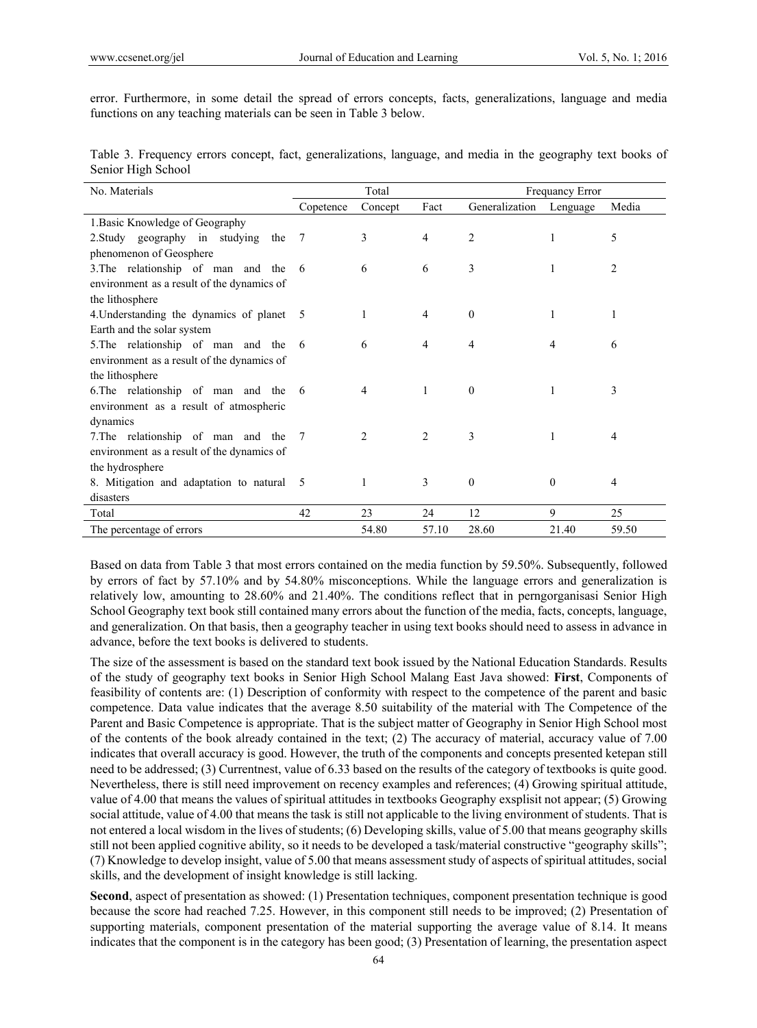error. Furthermore, in some detail the spread of errors concepts, facts, generalizations, language and media functions on any teaching materials can be seen in Table 3 below.

Table 3. Frequency errors concept, fact, generalizations, language, and media in the geography text books of Senior High School

| No. Materials                              | Total     |         | Frequancy Error |                |          |                |
|--------------------------------------------|-----------|---------|-----------------|----------------|----------|----------------|
|                                            | Copetence | Concept | Fact            | Generalization | Lenguage | Media          |
| 1. Basic Knowledge of Geography            |           |         |                 |                |          |                |
| 2. Study geography in studying<br>the 7    |           | 3       | 4               | $\overline{2}$ |          | 5              |
| phenomenon of Geosphere                    |           |         |                 |                |          |                |
| 3. The relationship of man and the 6       |           | 6       | 6               | 3              | 1        | $\overline{c}$ |
| environment as a result of the dynamics of |           |         |                 |                |          |                |
| the lithosphere                            |           |         |                 |                |          |                |
| 4. Understanding the dynamics of planet 5  |           | 1       | 4               | $\mathbf{0}$   |          |                |
| Earth and the solar system                 |           |         |                 |                |          |                |
| 5. The relationship of man and the 6       |           | 6       | 4               | 4              | 4        | 6              |
| environment as a result of the dynamics of |           |         |                 |                |          |                |
| the lithosphere                            |           |         |                 |                |          |                |
| 6. The relationship of man and the 6       |           | 4       | 1               | $\theta$       |          | 3              |
| environment as a result of atmospheric     |           |         |                 |                |          |                |
| dynamics                                   |           |         |                 |                |          |                |
| 7. The relationship of man and the 7       |           | 2       | 2               | 3              |          | 4              |
| environment as a result of the dynamics of |           |         |                 |                |          |                |
| the hydrosphere                            |           |         |                 |                |          |                |
| 8. Mitigation and adaptation to natural 5  |           | 1       | 3               | $\mathbf{0}$   | 0        | 4              |
| disasters                                  |           |         |                 |                |          |                |
| Total                                      | 42        | 23      | 24              | 12             | 9        | 25             |
| The percentage of errors                   |           | 54.80   | 57.10           | 28.60          | 21.40    | 59.50          |

Based on data from Table 3 that most errors contained on the media function by 59.50%. Subsequently, followed by errors of fact by 57.10% and by 54.80% misconceptions. While the language errors and generalization is relatively low, amounting to 28.60% and 21.40%. The conditions reflect that in perngorganisasi Senior High School Geography text book still contained many errors about the function of the media, facts, concepts, language, and generalization. On that basis, then a geography teacher in using text books should need to assess in advance in advance, before the text books is delivered to students.

The size of the assessment is based on the standard text book issued by the National Education Standards. Results of the study of geography text books in Senior High School Malang East Java showed: **First**, Components of feasibility of contents are: (1) Description of conformity with respect to the competence of the parent and basic competence. Data value indicates that the average 8.50 suitability of the material with The Competence of the Parent and Basic Competence is appropriate. That is the subject matter of Geography in Senior High School most of the contents of the book already contained in the text; (2) The accuracy of material, accuracy value of 7.00 indicates that overall accuracy is good. However, the truth of the components and concepts presented ketepan still need to be addressed; (3) Currentnest, value of 6.33 based on the results of the category of textbooks is quite good. Nevertheless, there is still need improvement on recency examples and references; (4) Growing spiritual attitude, value of 4.00 that means the values of spiritual attitudes in textbooks Geography exsplisit not appear; (5) Growing social attitude, value of 4.00 that means the task is still not applicable to the living environment of students. That is not entered a local wisdom in the lives of students; (6) Developing skills, value of 5.00 that means geography skills still not been applied cognitive ability, so it needs to be developed a task/material constructive "geography skills"; (7) Knowledge to develop insight, value of 5.00 that means assessment study of aspects of spiritual attitudes, social skills, and the development of insight knowledge is still lacking.

**Second**, aspect of presentation as showed: (1) Presentation techniques, component presentation technique is good because the score had reached 7.25. However, in this component still needs to be improved; (2) Presentation of supporting materials, component presentation of the material supporting the average value of 8.14. It means indicates that the component is in the category has been good; (3) Presentation of learning, the presentation aspect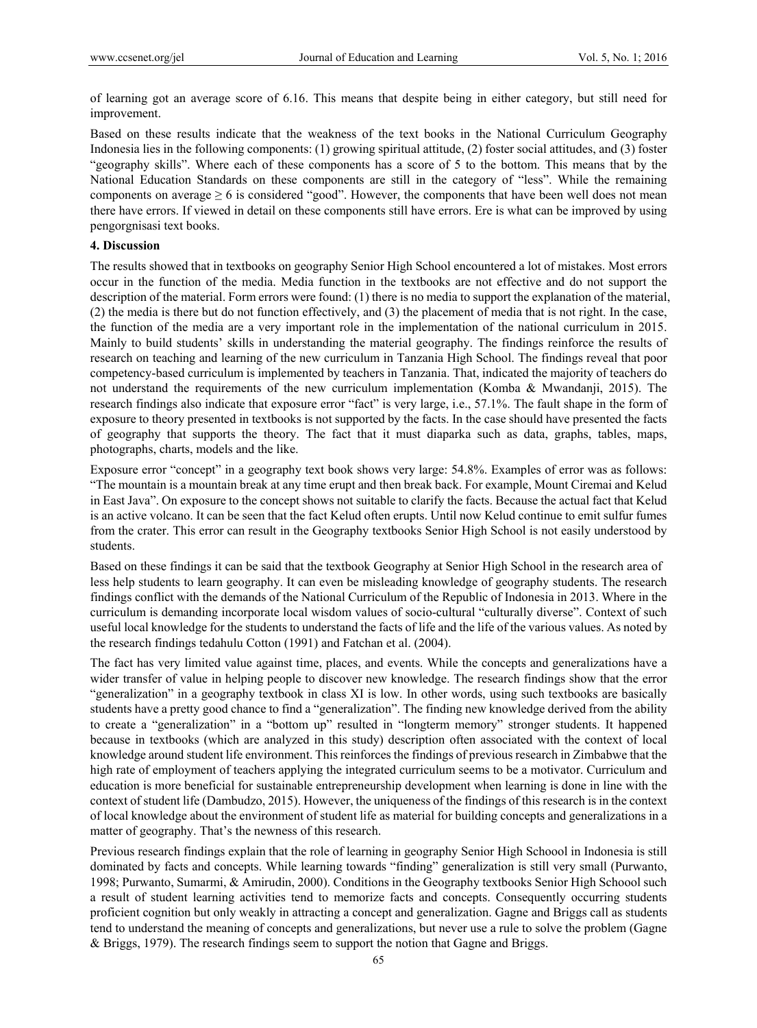of learning got an average score of 6.16. This means that despite being in either category, but still need for improvement.

Based on these results indicate that the weakness of the text books in the National Curriculum Geography Indonesia lies in the following components: (1) growing spiritual attitude, (2) foster social attitudes, and (3) foster "geography skills". Where each of these components has a score of 5 to the bottom. This means that by the National Education Standards on these components are still in the category of "less". While the remaining components on average  $\geq 6$  is considered "good". However, the components that have been well does not mean there have errors. If viewed in detail on these components still have errors. Ere is what can be improved by using pengorgnisasi text books.

#### **4. Discussion**

The results showed that in textbooks on geography Senior High School encountered a lot of mistakes. Most errors occur in the function of the media. Media function in the textbooks are not effective and do not support the description of the material. Form errors were found: (1) there is no media to support the explanation of the material, (2) the media is there but do not function effectively, and (3) the placement of media that is not right. In the case, the function of the media are a very important role in the implementation of the national curriculum in 2015. Mainly to build students' skills in understanding the material geography. The findings reinforce the results of research on teaching and learning of the new curriculum in Tanzania High School. The findings reveal that poor competency-based curriculum is implemented by teachers in Tanzania. That, indicated the majority of teachers do not understand the requirements of the new curriculum implementation (Komba & Mwandanji, 2015). The research findings also indicate that exposure error "fact" is very large, i.e., 57.1%. The fault shape in the form of exposure to theory presented in textbooks is not supported by the facts. In the case should have presented the facts of geography that supports the theory. The fact that it must diaparka such as data, graphs, tables, maps, photographs, charts, models and the like.

Exposure error "concept" in a geography text book shows very large: 54.8%. Examples of error was as follows: "The mountain is a mountain break at any time erupt and then break back. For example, Mount Ciremai and Kelud in East Java". On exposure to the concept shows not suitable to clarify the facts. Because the actual fact that Kelud is an active volcano. It can be seen that the fact Kelud often erupts. Until now Kelud continue to emit sulfur fumes from the crater. This error can result in the Geography textbooks Senior High School is not easily understood by students.

Based on these findings it can be said that the textbook Geography at Senior High School in the research area of less help students to learn geography. It can even be misleading knowledge of geography students. The research findings conflict with the demands of the National Curriculum of the Republic of Indonesia in 2013. Where in the curriculum is demanding incorporate local wisdom values of socio-cultural "culturally diverse". Context of such useful local knowledge for the students to understand the facts of life and the life of the various values. As noted by the research findings tedahulu Cotton (1991) and Fatchan et al. (2004).

The fact has very limited value against time, places, and events. While the concepts and generalizations have a wider transfer of value in helping people to discover new knowledge. The research findings show that the error "generalization" in a geography textbook in class XI is low. In other words, using such textbooks are basically students have a pretty good chance to find a "generalization". The finding new knowledge derived from the ability to create a "generalization" in a "bottom up" resulted in "longterm memory" stronger students. It happened because in textbooks (which are analyzed in this study) description often associated with the context of local knowledge around student life environment. This reinforces the findings of previous research in Zimbabwe that the high rate of employment of teachers applying the integrated curriculum seems to be a motivator. Curriculum and education is more beneficial for sustainable entrepreneurship development when learning is done in line with the context of student life (Dambudzo, 2015). However, the uniqueness of the findings of this research is in the context of local knowledge about the environment of student life as material for building concepts and generalizations in a matter of geography. That's the newness of this research.

Previous research findings explain that the role of learning in geography Senior High Schoool in Indonesia is still dominated by facts and concepts. While learning towards "finding" generalization is still very small (Purwanto, 1998; Purwanto, Sumarmi, & Amirudin, 2000). Conditions in the Geography textbooks Senior High Schoool such a result of student learning activities tend to memorize facts and concepts. Consequently occurring students proficient cognition but only weakly in attracting a concept and generalization. Gagne and Briggs call as students tend to understand the meaning of concepts and generalizations, but never use a rule to solve the problem (Gagne & Briggs, 1979). The research findings seem to support the notion that Gagne and Briggs.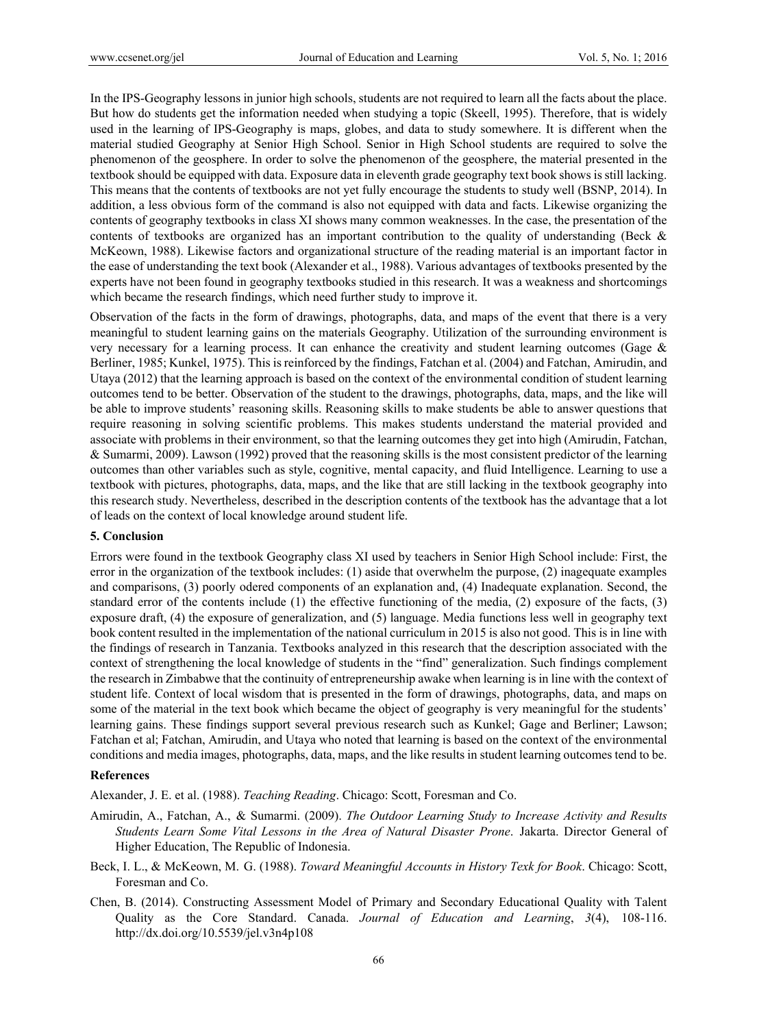In the IPS-Geography lessons in junior high schools, students are not required to learn all the facts about the place. But how do students get the information needed when studying a topic (Skeell, 1995). Therefore, that is widely used in the learning of IPS-Geography is maps, globes, and data to study somewhere. It is different when the material studied Geography at Senior High School. Senior in High School students are required to solve the phenomenon of the geosphere. In order to solve the phenomenon of the geosphere, the material presented in the textbook should be equipped with data. Exposure data in eleventh grade geography text book shows is still lacking. This means that the contents of textbooks are not yet fully encourage the students to study well (BSNP, 2014). In addition, a less obvious form of the command is also not equipped with data and facts. Likewise organizing the contents of geography textbooks in class XI shows many common weaknesses. In the case, the presentation of the contents of textbooks are organized has an important contribution to the quality of understanding (Beck & McKeown, 1988). Likewise factors and organizational structure of the reading material is an important factor in the ease of understanding the text book (Alexander et al., 1988). Various advantages of textbooks presented by the experts have not been found in geography textbooks studied in this research. It was a weakness and shortcomings which became the research findings, which need further study to improve it.

Observation of the facts in the form of drawings, photographs, data, and maps of the event that there is a very meaningful to student learning gains on the materials Geography. Utilization of the surrounding environment is very necessary for a learning process. It can enhance the creativity and student learning outcomes (Gage  $\&$ Berliner, 1985; Kunkel, 1975). This is reinforced by the findings, Fatchan et al. (2004) and Fatchan, Amirudin, and Utaya (2012) that the learning approach is based on the context of the environmental condition of student learning outcomes tend to be better. Observation of the student to the drawings, photographs, data, maps, and the like will be able to improve students' reasoning skills. Reasoning skills to make students be able to answer questions that require reasoning in solving scientific problems. This makes students understand the material provided and associate with problems in their environment, so that the learning outcomes they get into high (Amirudin, Fatchan, & Sumarmi, 2009). Lawson (1992) proved that the reasoning skills is the most consistent predictor of the learning outcomes than other variables such as style, cognitive, mental capacity, and fluid Intelligence. Learning to use a textbook with pictures, photographs, data, maps, and the like that are still lacking in the textbook geography into this research study. Nevertheless, described in the description contents of the textbook has the advantage that a lot of leads on the context of local knowledge around student life.

#### **5. Conclusion**

Errors were found in the textbook Geography class XI used by teachers in Senior High School include: First, the error in the organization of the textbook includes: (1) aside that overwhelm the purpose, (2) inagequate examples and comparisons, (3) poorly odered components of an explanation and, (4) Inadequate explanation. Second, the standard error of the contents include (1) the effective functioning of the media, (2) exposure of the facts, (3) exposure draft, (4) the exposure of generalization, and (5) language. Media functions less well in geography text book content resulted in the implementation of the national curriculum in 2015 is also not good. This is in line with the findings of research in Tanzania. Textbooks analyzed in this research that the description associated with the context of strengthening the local knowledge of students in the "find" generalization. Such findings complement the research in Zimbabwe that the continuity of entrepreneurship awake when learning is in line with the context of student life. Context of local wisdom that is presented in the form of drawings, photographs, data, and maps on some of the material in the text book which became the object of geography is very meaningful for the students' learning gains. These findings support several previous research such as Kunkel; Gage and Berliner; Lawson; Fatchan et al; Fatchan, Amirudin, and Utaya who noted that learning is based on the context of the environmental conditions and media images, photographs, data, maps, and the like results in student learning outcomes tend to be.

## **References**

Alexander, J. E. et al. (1988). *Teaching Reading*. Chicago: Scott, Foresman and Co.

- Amirudin, A., Fatchan, A., & Sumarmi. (2009). *The Outdoor Learning Study to Increase Activity and Results Students Learn Some Vital Lessons in the Area of Natural Disaster Prone*. Jakarta. Director General of Higher Education, The Republic of Indonesia.
- Beck, I. L., & McKeown, M. G. (1988). *Toward Meaningful Accounts in History Texk for Book*. Chicago: Scott, Foresman and Co.
- Chen, B. (2014). Constructing Assessment Model of Primary and Secondary Educational Quality with Talent Quality as the Core Standard. Canada. *Journal of Education and Learning*, *3*(4), 108-116. http://dx.doi.org/10.5539/jel.v3n4p108